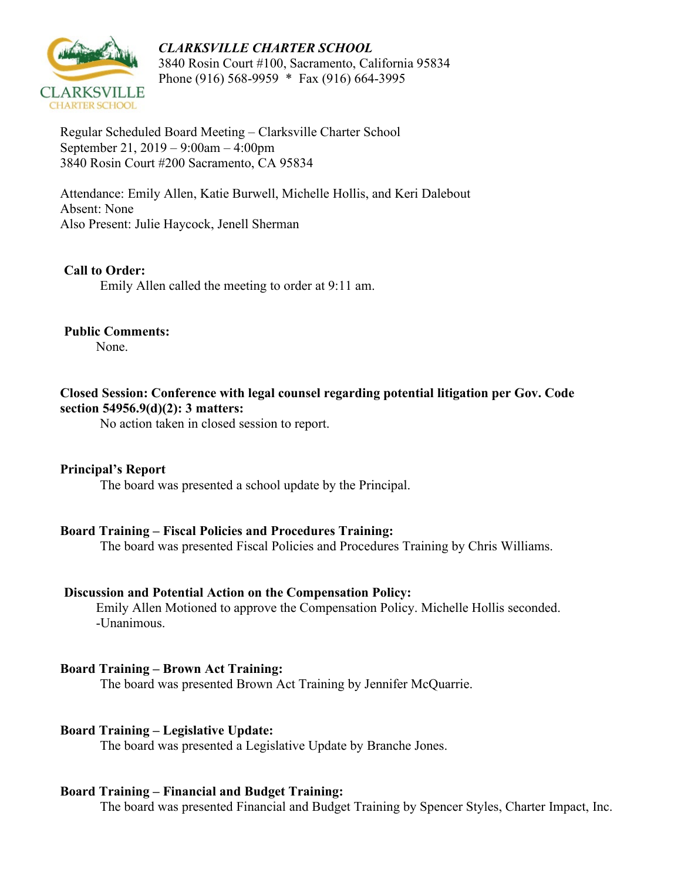

*CLARKSVILLE CHARTER SCHOOL* 3840 Rosin Court #100, Sacramento, California 95834 Phone (916) 568-9959 \* Fax (916) 664-3995

Regular Scheduled Board Meeting – Clarksville Charter School September 21, 2019 – 9:00am – 4:00pm 3840 Rosin Court #200 Sacramento, CA 95834

Attendance: Emily Allen, Katie Burwell, Michelle Hollis, and Keri Dalebout Absent: None Also Present: Julie Haycock, Jenell Sherman

#### **Call to Order:**

Emily Allen called the meeting to order at 9:11 am.

#### **Public Comments:**

None.

#### **Closed Session: Conference with legal counsel regarding potential litigation per Gov. Code section 54956.9(d)(2): 3 matters:**

No action taken in closed session to report.

#### **Principal's Report**

The board was presented a school update by the Principal.

#### **Board Training – Fiscal Policies and Procedures Training:**

The board was presented Fiscal Policies and Procedures Training by Chris Williams.

#### **Discussion and Potential Action on the Compensation Policy:**

Emily Allen Motioned to approve the Compensation Policy. Michelle Hollis seconded. -Unanimous.

#### **Board Training – Brown Act Training:**

The board was presented Brown Act Training by Jennifer McQuarrie.

#### **Board Training – Legislative Update:**

The board was presented a Legislative Update by Branche Jones.

#### **Board Training – Financial and Budget Training:**

The board was presented Financial and Budget Training by Spencer Styles, Charter Impact, Inc.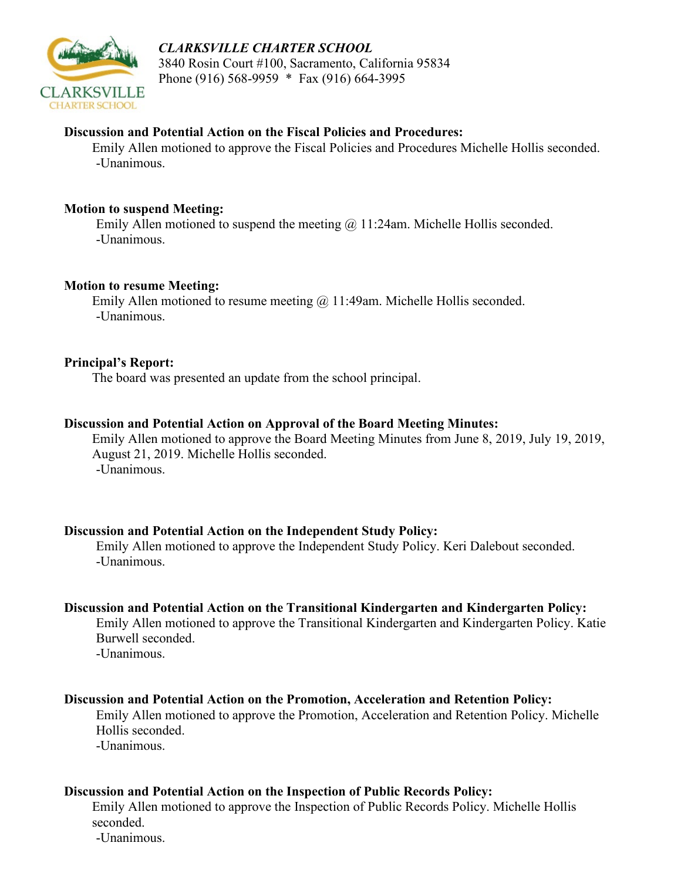



3840 Rosin Court #100, Sacramento, California 95834 Phone (916) 568-9959 \* Fax (916) 664-3995

### **Discussion and Potential Action on the Fiscal Policies and Procedures:**

Emily Allen motioned to approve the Fiscal Policies and Procedures Michelle Hollis seconded. -Unanimous.

### **Motion to suspend Meeting:**

Emily Allen motioned to suspend the meeting  $\omega$  11:24am. Michelle Hollis seconded. -Unanimous.

### **Motion to resume Meeting:**

Emily Allen motioned to resume meeting  $(a)$  11:49am. Michelle Hollis seconded. -Unanimous.

## **Principal's Report:**

The board was presented an update from the school principal.

## **Discussion and Potential Action on Approval of the Board Meeting Minutes:**

Emily Allen motioned to approve the Board Meeting Minutes from June 8, 2019, July 19, 2019, August 21, 2019. Michelle Hollis seconded. -Unanimous.

### **Discussion and Potential Action on the Independent Study Policy:**

Emily Allen motioned to approve the Independent Study Policy. Keri Dalebout seconded. -Unanimous.

## **Discussion and Potential Action on the Transitional Kindergarten and Kindergarten Policy:**

Emily Allen motioned to approve the Transitional Kindergarten and Kindergarten Policy. Katie Burwell seconded.

-Unanimous.

### **Discussion and Potential Action on the Promotion, Acceleration and Retention Policy:**

Emily Allen motioned to approve the Promotion, Acceleration and Retention Policy. Michelle Hollis seconded.

-Unanimous.

## **Discussion and Potential Action on the Inspection of Public Records Policy:**

Emily Allen motioned to approve the Inspection of Public Records Policy. Michelle Hollis seconded.

-Unanimous.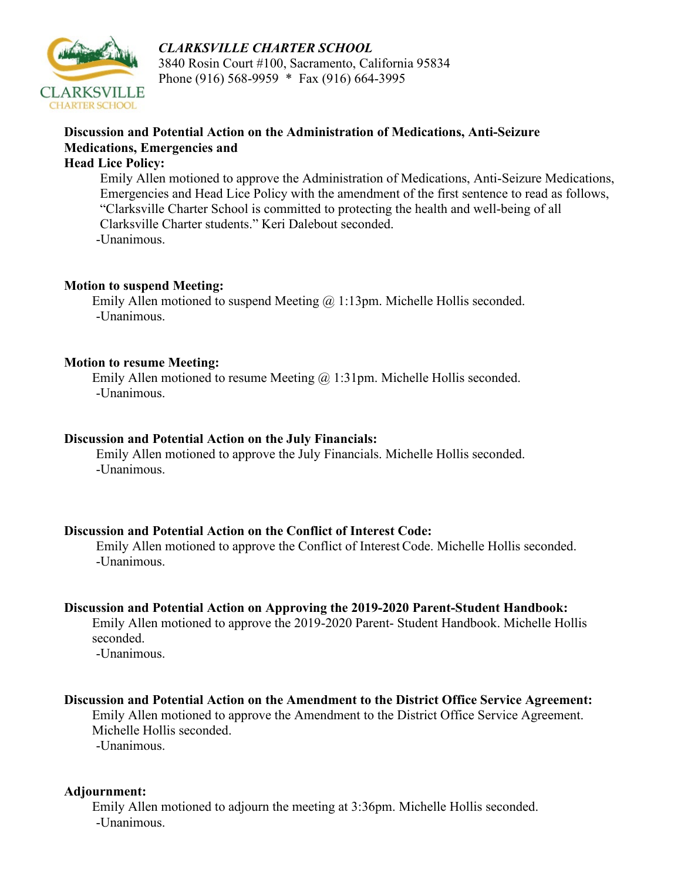

*CLARKSVILLE CHARTER SCHOOL* 3840 Rosin Court #100, Sacramento, California 95834 Phone (916) 568-9959 \* Fax (916) 664-3995

## **Discussion and Potential Action on the Administration of Medications, Anti-Seizure Medications, Emergencies and**

### **Head Lice Policy:**

Emily Allen motioned to approve the Administration of Medications, Anti-Seizure Medications, Emergencies and Head Lice Policy with the amendment of the first sentence to read as follows, "Clarksville Charter School is committed to protecting the health and well-being of all Clarksville Charter students." Keri Dalebout seconded. -Unanimous.

#### **Motion to suspend Meeting:**

Emily Allen motioned to suspend Meeting @ 1:13pm. Michelle Hollis seconded. -Unanimous.

#### **Motion to resume Meeting:**

Emily Allen motioned to resume Meeting  $\omega$  1:31pm. Michelle Hollis seconded. -Unanimous.

#### **Discussion and Potential Action on the July Financials:**

Emily Allen motioned to approve the July Financials. Michelle Hollis seconded. -Unanimous.

### **Discussion and Potential Action on the Conflict of Interest Code:**

Emily Allen motioned to approve the Conflict of Interest Code. Michelle Hollis seconded. -Unanimous.

### **Discussion and Potential Action on Approving the 2019-2020 Parent-Student Handbook:**

Emily Allen motioned to approve the 2019-2020 Parent- Student Handbook. Michelle Hollis seconded.

-Unanimous.

# **Discussion and Potential Action on the Amendment to the District Office Service Agreement:**

Emily Allen motioned to approve the Amendment to the District Office Service Agreement. Michelle Hollis seconded.

-Unanimous.

### **Adjournment:**

Emily Allen motioned to adjourn the meeting at 3:36pm. Michelle Hollis seconded. -Unanimous.